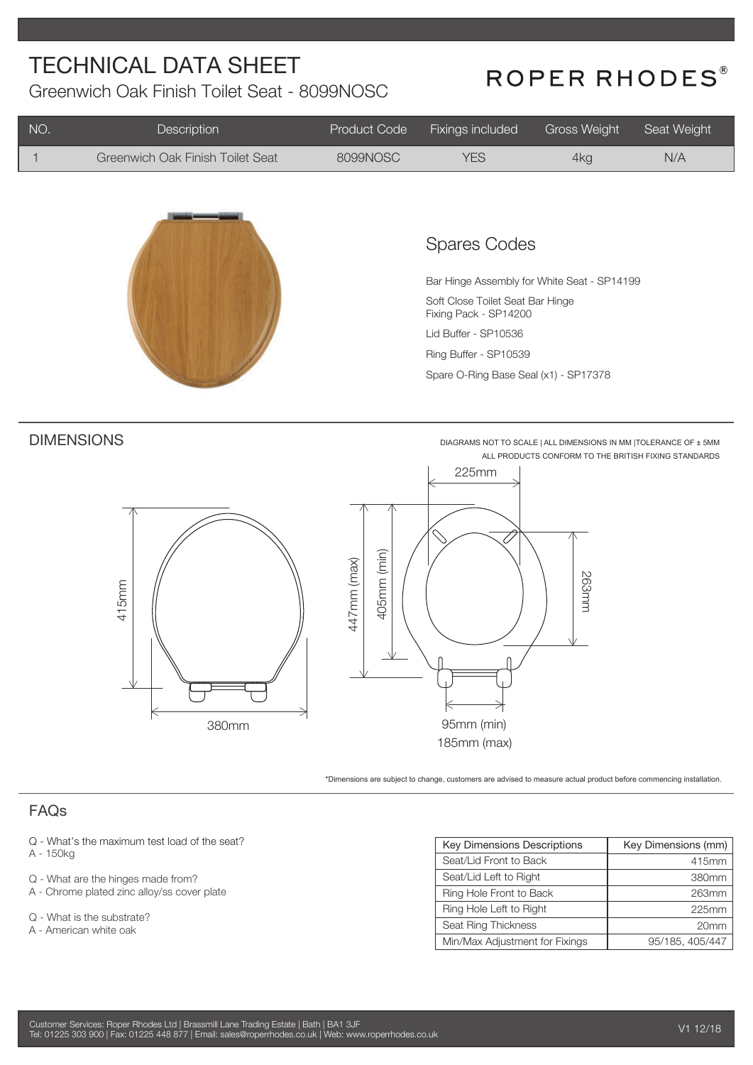Greenwich Oak Finish Toilet Seat - 8099NOSC

# ROPER RHODES®

| NO.                                    | Description                                   | Product Code               | Fixings included                                                                                                                                                                                                          | <b>Gross Weight</b> | Seat Weight                                                                                                               |
|----------------------------------------|-----------------------------------------------|----------------------------|---------------------------------------------------------------------------------------------------------------------------------------------------------------------------------------------------------------------------|---------------------|---------------------------------------------------------------------------------------------------------------------------|
|                                        | Greenwich Oak Finish Toilet Seat              | 8099NOSC                   | <b>YES</b>                                                                                                                                                                                                                | 4kg                 | N/A                                                                                                                       |
|                                        |                                               |                            | <b>Spares Codes</b><br>Bar Hinge Assembly for White Seat - SP14199<br>Soft Close Toilet Seat Bar Hinge<br>Fixing Pack - SP14200<br>Lid Buffer - SP10536<br>Ring Buffer - SP10539<br>Spare O-Ring Base Seal (x1) - SP17378 |                     |                                                                                                                           |
|                                        | <b>DIMENSIONS</b><br>415mm<br>380mm           | 405mm (min)<br>447mm (max) | 225mm<br>95mm (min)<br>185mm (max)<br>*Dimensions are subject to change, customers are advised to measure actual product before commencing installation.                                                                  | 263mm               | DIAGRAMS NOT TO SCALE   ALL DIMENSIONS IN MM   TOLERANCE OF ± 5MM<br>ALL PRODUCTS CONFORM TO THE BRITISH FIXING STANDARDS |
| <b>FAQs</b>                            |                                               |                            |                                                                                                                                                                                                                           |                     |                                                                                                                           |
|                                        |                                               |                            |                                                                                                                                                                                                                           |                     |                                                                                                                           |
| A - 150kg                              | Q - What's the maximum test load of the seat? |                            | Key Dimensions Descriptions                                                                                                                                                                                               |                     | Key Dimensions (mm)                                                                                                       |
|                                        | Q - What are the hinges made from?            |                            | Seat/Lid Front to Back<br>Seat/Lid Left to Right                                                                                                                                                                          |                     | 415mm<br>380mm                                                                                                            |
|                                        | A - Chrome plated zinc alloy/ss cover plate   |                            | Ring Hole Front to Back                                                                                                                                                                                                   |                     | 263mm                                                                                                                     |
| $\Lambda$ $\Lambda$ $\mu$ <sub>0</sub> | 4.1 <sub>ex</sub>                             |                            | Ring Hole Left to Right                                                                                                                                                                                                   |                     | 225mm                                                                                                                     |

Seat Ring Thickness

Min/Max Adjustment for Fixings

Q - What is the substrate?

A - American white oak

20mm

95/185, 405/447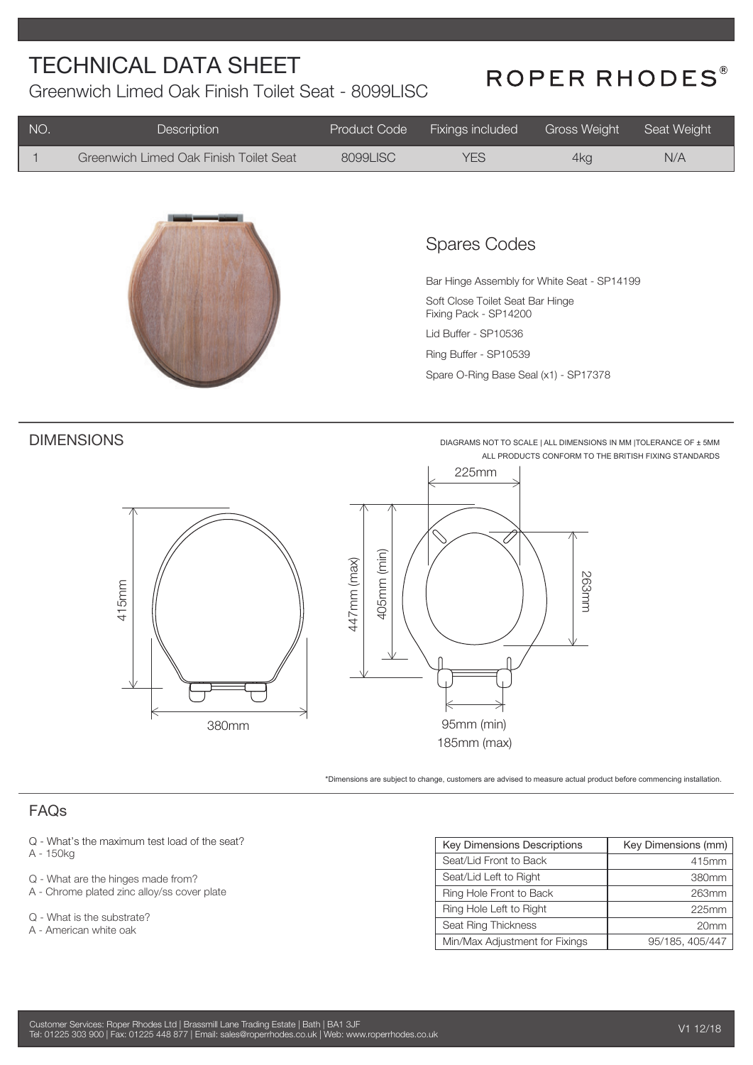Greenwich Limed Oak Finish Toilet Seat - 8099LISC

# ROPER RHODES®

| NO.         | Description                                                                                                                                                                                | Product Code               | Fixings included                                                                                                                                                                                                          | <b>Gross Weight</b> | Seat Weight                                                                                                               |
|-------------|--------------------------------------------------------------------------------------------------------------------------------------------------------------------------------------------|----------------------------|---------------------------------------------------------------------------------------------------------------------------------------------------------------------------------------------------------------------------|---------------------|---------------------------------------------------------------------------------------------------------------------------|
| 1           | Greenwich Limed Oak Finish Toilet Seat                                                                                                                                                     | 8099LISC                   | <b>YES</b>                                                                                                                                                                                                                | 4kg                 | N/A                                                                                                                       |
|             |                                                                                                                                                                                            |                            | <b>Spares Codes</b><br>Bar Hinge Assembly for White Seat - SP14199<br>Soft Close Toilet Seat Bar Hinge<br>Fixing Pack - SP14200<br>Lid Buffer - SP10536<br>Ring Buffer - SP10539<br>Spare O-Ring Base Seal (x1) - SP17378 |                     |                                                                                                                           |
|             | <b>DIMENSIONS</b><br>415mm<br>380mm                                                                                                                                                        | 405mm (min)<br>447mm (max) | 225mm<br>95mm (min)<br>185mm (max)<br>*Dimensions are subject to change, customers are advised to measure actual product before commencing installation.                                                                  | 263mm               | DIAGRAMS NOT TO SCALE   ALL DIMENSIONS IN MM   TOLERANCE OF ± 5MM<br>ALL PRODUCTS CONFORM TO THE BRITISH FIXING STANDARDS |
| <b>FAQs</b> |                                                                                                                                                                                            |                            |                                                                                                                                                                                                                           |                     |                                                                                                                           |
| A - 150kg   | Q - What's the maximum test load of the seat?<br>Q - What are the hinges made from?<br>A - Chrome plated zinc alloy/ss cover plate<br>Q - What is the substrate?<br>A - American white oak |                            | Key Dimensions Descriptions<br>Seat/Lid Front to Back<br>Seat/Lid Left to Right<br>Ring Hole Front to Back<br>Ring Hole Left to Right<br>Seat Ring Thickness                                                              |                     | Key Dimensions (mm)<br>415mm<br>380mm<br>263mm<br>225mm<br>20mm                                                           |
|             |                                                                                                                                                                                            |                            | Min/Max Adjustment for Fixings                                                                                                                                                                                            |                     | 95/185, 405/447                                                                                                           |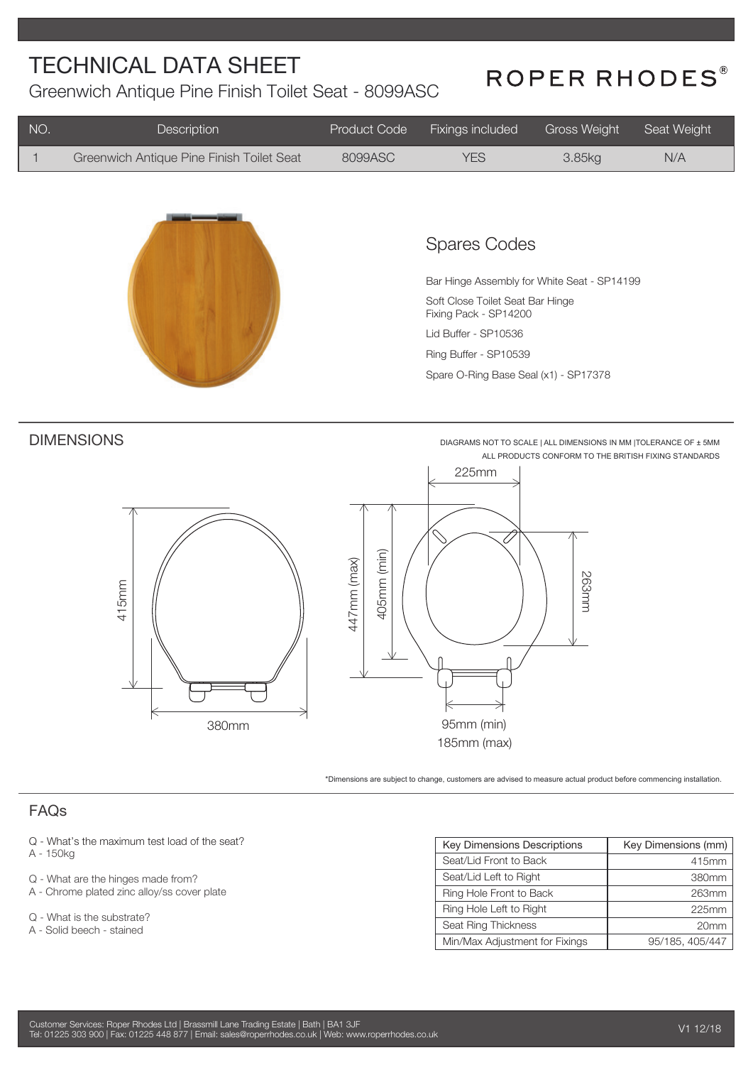Greenwich Antique Pine Finish Toilet Seat - 8099ASC

# ROPER RHODES®

| NO.                                                | Description                                                                       | Product Code | Fixings included                                                                                                                                                                                                          | <b>Gross Weight</b> | Seat Weight                                                                                                               |
|----------------------------------------------------|-----------------------------------------------------------------------------------|--------------|---------------------------------------------------------------------------------------------------------------------------------------------------------------------------------------------------------------------------|---------------------|---------------------------------------------------------------------------------------------------------------------------|
| $\mathbf{1}$                                       | Greenwich Antique Pine Finish Toilet Seat                                         | 8099ASC      | <b>YES</b>                                                                                                                                                                                                                | 3.85kg              | N/A                                                                                                                       |
|                                                    |                                                                                   |              | <b>Spares Codes</b><br>Bar Hinge Assembly for White Seat - SP14199<br>Soft Close Toilet Seat Bar Hinge<br>Fixing Pack - SP14200<br>Lid Buffer - SP10536<br>Ring Buffer - SP10539<br>Spare O-Ring Base Seal (x1) - SP17378 |                     |                                                                                                                           |
| <b>DIMENSIONS</b><br>447mm (max)<br>415mm<br>380mm |                                                                                   | 405mm (min)  | 225mm<br>95mm (min)<br>185mm (max)<br>*Dimensions are subject to change, customers are advised to measure actual product before commencing installation.                                                                  | 263mm               | DIAGRAMS NOT TO SCALE   ALL DIMENSIONS IN MM   TOLERANCE OF ± 5MM<br>ALL PRODUCTS CONFORM TO THE BRITISH FIXING STANDARDS |
| FAQs                                               |                                                                                   |              |                                                                                                                                                                                                                           |                     |                                                                                                                           |
| A - 150kg                                          | Q - What's the maximum test load of the seat?                                     |              | <b>Key Dimensions Descriptions</b><br>Seat/Lid Front to Back                                                                                                                                                              |                     | Key Dimensions (mm)<br>415mm                                                                                              |
|                                                    | Q - What are the hinges made from?<br>A - Chrome plated zinc alloy/ss cover plate |              | Seat/Lid Left to Right<br>Ring Hole Front to Back                                                                                                                                                                         |                     | 380mm<br>263mm                                                                                                            |
|                                                    | Q - What is the substrate?                                                        |              | Ring Hole Left to Right<br>$O_{\text{scat}}$ $D_{\text{inat}}$ $T_{\text{in}}$                                                                                                                                            |                     | 225mm                                                                                                                     |

Seat Ring Thickness

Min/Max Adjustment for Fixings

A - Solid beech - stained

Customer Services: Roper Rhodes Ltd | Brassmill Lane Trading Estate | Bath | BA1 3JF Tel: 01225 303 900 | Fax: 01225 448 877 | Email: sales@roperrhodes.co.uk | Web: www.roperrhodes.co.uk 20mm

95/185, 405/447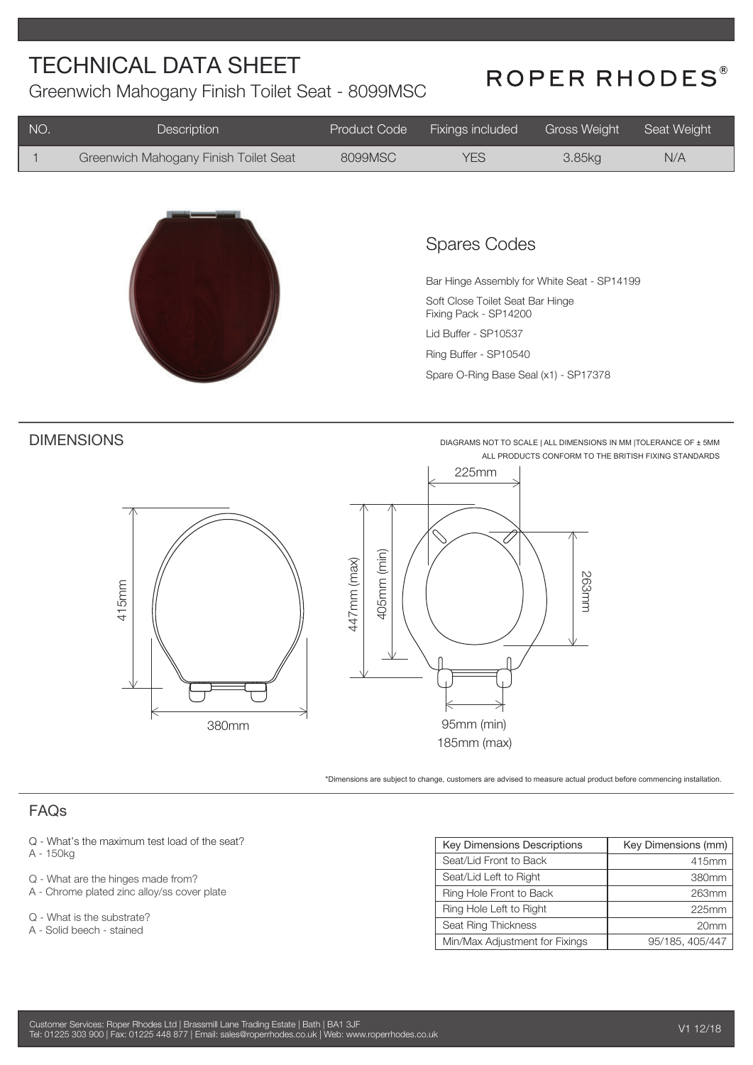Greenwich Mahogany Finish Toilet Seat - 8099MSC

## ROPER RHODES®

| NO.                                                               | Description                                             | Product Code | Fixings included                                                                                                                                                                                                          | <b>Gross Weight</b> | Seat Weight                                                                                                               |
|-------------------------------------------------------------------|---------------------------------------------------------|--------------|---------------------------------------------------------------------------------------------------------------------------------------------------------------------------------------------------------------------------|---------------------|---------------------------------------------------------------------------------------------------------------------------|
| $\mathbf{1}$                                                      | Greenwich Mahogany Finish Toilet Seat                   | 8099MSC      | <b>YES</b>                                                                                                                                                                                                                | 3.85kg              | N/A                                                                                                                       |
|                                                                   |                                                         |              | <b>Spares Codes</b><br>Bar Hinge Assembly for White Seat - SP14199<br>Soft Close Toilet Seat Bar Hinge<br>Fixing Pack - SP14200<br>Lid Buffer - SP10537<br>Ring Buffer - SP10540<br>Spare O-Ring Base Seal (x1) - SP17378 |                     |                                                                                                                           |
| <b>DIMENSIONS</b><br>405mm (min)<br>447mm (max)<br>415mm<br>380mm |                                                         |              | 225mm<br>95mm (min)<br>185mm (max)<br>*Dimensions are subject to change, customers are advised to measure actual product before commencing installation.                                                                  | 263mm               | DIAGRAMS NOT TO SCALE   ALL DIMENSIONS IN MM   TOLERANCE OF ± 5MM<br>ALL PRODUCTS CONFORM TO THE BRITISH FIXING STANDARDS |
| FAQs                                                              |                                                         |              |                                                                                                                                                                                                                           |                     |                                                                                                                           |
| A - 150kg                                                         | Q - What's the maximum test load of the seat?           |              | Key Dimensions Descriptions<br>Seat/Lid Front to Back                                                                                                                                                                     |                     | Key Dimensions (mm)                                                                                                       |
|                                                                   | Q - What are the hinges made from?                      |              | Seat/Lid Left to Right                                                                                                                                                                                                    |                     | 415mm<br>380mm                                                                                                            |
|                                                                   | A - Chrome plated zinc alloy/ss cover plate             |              | Ring Hole Front to Back                                                                                                                                                                                                   |                     | 263mm                                                                                                                     |
|                                                                   | Q - What is the substrate?<br>A - Solid beech - stained |              | Ring Hole Left to Right<br>Seat Ring Thickness                                                                                                                                                                            |                     | 225mm<br>20mm                                                                                                             |

95/185, 405/447

Min/Max Adjustment for Fixings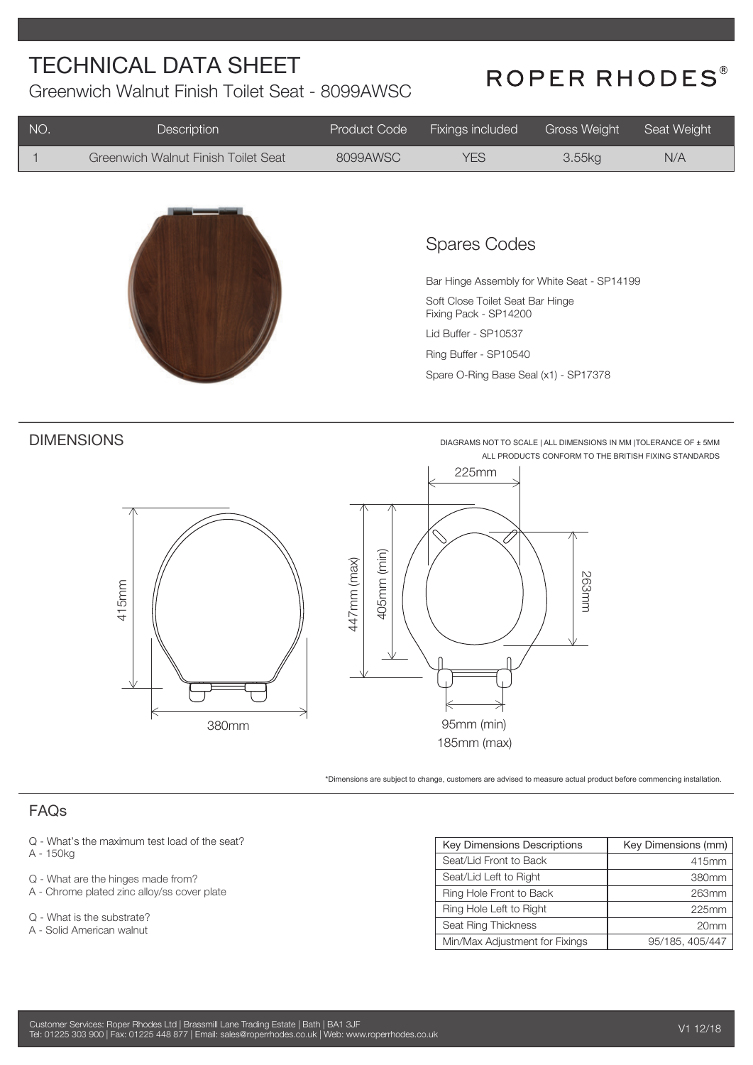Greenwich Walnut Finish Toilet Seat - 8099AWSC

### ROPER RHODES®

| NO.         | Description                                                                       | Product Code               | Fixings included                                                                                                                                                                                                          | <b>Gross Weight</b> | Seat Weight                                                                                                               |
|-------------|-----------------------------------------------------------------------------------|----------------------------|---------------------------------------------------------------------------------------------------------------------------------------------------------------------------------------------------------------------------|---------------------|---------------------------------------------------------------------------------------------------------------------------|
| 1           | Greenwich Walnut Finish Toilet Seat                                               | 8099AWSC                   | <b>YES</b>                                                                                                                                                                                                                | 3.55kg              | N/A                                                                                                                       |
|             |                                                                                   |                            | <b>Spares Codes</b><br>Bar Hinge Assembly for White Seat - SP14199<br>Soft Close Toilet Seat Bar Hinge<br>Fixing Pack - SP14200<br>Lid Buffer - SP10537<br>Ring Buffer - SP10540<br>Spare O-Ring Base Seal (x1) - SP17378 |                     |                                                                                                                           |
|             | <b>DIMENSIONS</b><br>415mm<br>380mm                                               | 405mm (min)<br>447mm (max) | 225mm<br>95mm (min)<br>185mm (max)<br>*Dimensions are subject to change, customers are advised to measure actual product before commencing installation.                                                                  | 263mm               | DIAGRAMS NOT TO SCALE   ALL DIMENSIONS IN MM   TOLERANCE OF ± 5MM<br>ALL PRODUCTS CONFORM TO THE BRITISH FIXING STANDARDS |
| <b>FAQs</b> |                                                                                   |                            |                                                                                                                                                                                                                           |                     |                                                                                                                           |
|             |                                                                                   |                            |                                                                                                                                                                                                                           |                     |                                                                                                                           |
| A - 150kg   | Q - What's the maximum test load of the seat?                                     |                            | Key Dimensions Descriptions                                                                                                                                                                                               |                     | Key Dimensions (mm)                                                                                                       |
|             |                                                                                   |                            | Seat/Lid Front to Back<br>Seat/Lid Left to Right                                                                                                                                                                          |                     | 415mm<br>380mm                                                                                                            |
|             | Q - What are the hinges made from?<br>A - Chrome plated zinc alloy/ss cover plate |                            | Ring Hole Front to Back                                                                                                                                                                                                   |                     | 263mm                                                                                                                     |
| $\cap$      | $10 l \approx 4$ in the $\approx$                                                 |                            | Ring Hole Left to Right                                                                                                                                                                                                   |                     | 225mm                                                                                                                     |

Seat Ring Thickness

Min/Max Adjustment for Fixings

- Q What is the substrate?
- A Solid American walnut

| Customer Services: Roper Rhodes Ltd   Brassmill Lane Trading Estate   Bath   BA1 3JF 1                |  |
|-------------------------------------------------------------------------------------------------------|--|
| Tel: 01225 303 900   Fax: 01225 448 877   Email: sales@roperrhodes.co.uk   Web: www.roperrhodes.co.uk |  |

20mm

95/185, 405/447